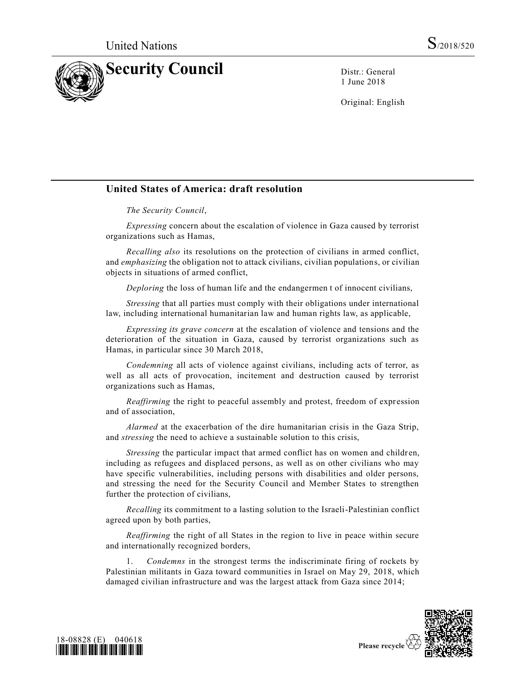

1 June 2018

Original: English

## **United States of America: draft resolution**

## *The Security Council*,

*Expressing* concern about the escalation of violence in Gaza caused by terrorist organizations such as Hamas,

*Recalling also* its resolutions on the protection of civilians in armed conflict, and *emphasizing* the obligation not to attack civilians, civilian populations, or civilian objects in situations of armed conflict,

*Deploring* the loss of human life and the endangermen t of innocent civilians,

*Stressing* that all parties must comply with their obligations under international law, including international humanitarian law and human rights law, as applicable,

*Expressing its grave concern* at the escalation of violence and tensions and the deterioration of the situation in Gaza, caused by terrorist organizations such as Hamas, in particular since 30 March 2018,

*Condemning* all acts of violence against civilians, including acts of terror, as well as all acts of provocation, incitement and destruction caused by terrorist organizations such as Hamas,

*Reaffirming* the right to peaceful assembly and protest, freedom of expression and of association,

*Alarmed* at the exacerbation of the dire humanitarian crisis in the Gaza Strip, and *stressing* the need to achieve a sustainable solution to this crisis,

*Stressing* the particular impact that armed conflict has on women and children, including as refugees and displaced persons, as well as on other civilians who may have specific vulnerabilities, including persons with disabilities and older persons, and stressing the need for the Security Council and Member States to strengthen further the protection of civilians,

*Recalling* its commitment to a lasting solution to the Israeli-Palestinian conflict agreed upon by both parties,

*Reaffirming* the right of all States in the region to live in peace within secure and internationally recognized borders,

1. *Condemns* in the strongest terms the indiscriminate firing of rockets by Palestinian militants in Gaza toward communities in Israel on May 29, 2018, which damaged civilian infrastructure and was the largest attack from Gaza since 2014;



Please recycle  $\Diamond$